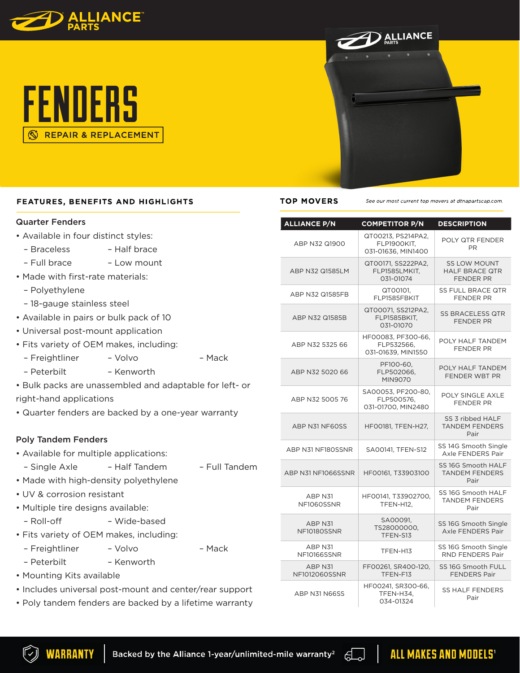





## Quarter Fenders

- Available in four distinct styles:
	- Braceless Half brace
	- Full brace Low mount
- Made with first-rate materials:
	- Polyethylene
	- 18-gauge stainless steel
- Available in pairs or bulk pack of 10
- Universal post-mount application
- Fits variety of OEM makes, including:
	- Freightliner Volvo Mack
	- Peterbilt Kenworth
- Bulk packs are unassembled and adaptable for left- or right-hand applications
- Quarter fenders are backed by a one-year warranty

# Poly Tandem Fenders

- Available for multiple applications:
- Single Axle Half Tandem Full Tandem
- Made with high-density polyethylene
- UV & corrosion resistant
- Multiple tire designs available:
- Roll-off Wide-based
- Fits variety of OEM makes, including:
	- Freightliner Volvo Mack
	- Peterbilt Kenworth
- Mounting Kits available
- Includes universal post-mount and center/rear support
- Poly tandem fenders are backed by a lifetime warranty



### **TOP MOVERS**

See our most current top movers at dtnapartscap.com

| <b>ALLIANCE P/N</b>                 | <b>COMPETITOR P/N</b>                                   | <b>DESCRIPTION</b>                                               |
|-------------------------------------|---------------------------------------------------------|------------------------------------------------------------------|
| ABP N32 Q1900                       | QT00213, PS214PA2,<br>FLP1900KIT.<br>031-01636, MIN1400 | POLY QTR FENDER<br>PR.                                           |
| ABP N32 Q1585LM                     | QT00171, SS222PA2,<br>FLP1585LMKIT,<br>031-01074        | <b>SS LOW MOUNT</b><br><b>HALF BRACE QTR</b><br><b>FENDER PR</b> |
| ABP N32 Q1585FB                     | QT00101.<br>FLP1585FBKIT                                | <b>SS FULL BRACE QTR</b><br><b>FENDER PR</b>                     |
| ABP N32 Q1585B                      | QT00071, SS212PA2,<br>FLP1585BKIT,<br>031-01070         | <b>SS BRACELESS QTR</b><br><b>FENDER PR</b>                      |
| ABP N32 5325 66                     | HF00083, PF300-66,<br>FLP532566.<br>031-01639, MIN1550  | POLY HALF TANDEM<br><b>FENDER PR</b>                             |
| ABP N32 5020 66                     | PF100-60,<br>FLP502066,<br><b>MIN9070</b>               | POLY HALF TANDEM<br>FENDER WBT PR                                |
| ABP N32 5005 76                     | SA00053, PF200-80,<br>FLP500576.<br>031-01700, MIN2480  | POLY SINGLE AXLE<br><b>FENDER PR</b>                             |
| ABP N31 NF60SS                      | HF00181, TFEN-H27,                                      | SS 3 ribbed HALF<br><b>TANDEM FENDERS</b><br>Pair                |
| ABP N31 NF180SSNR                   | SA00141, TFEN-S12                                       | SS 14G Smooth Single<br>Axle FENDERS Pair                        |
| ABP N31 NF1066SSNR                  | HF00161, T33903100                                      | SS 16G Smooth HALF<br><b>TANDEM FENDERS</b><br>Pair              |
| ABP N31<br>NF1060SSNR               | HF00141, T33902700,<br>TFEN-H12,                        | SS 16G Smooth HALF<br><b>TANDEM FENDERS</b><br>Pair              |
| ABP <sub>N31</sub><br>NF10180SSNR   | SA00091,<br>TS28000000,<br>TFEN-S13                     | SS 16G Smooth Single<br>Axle FENDERS Pair                        |
| ABP N31<br><b>NF10166SSNR</b>       | TFEN-H13                                                | SS 16G Smooth Single<br>RND FENDERS Pair                         |
| ABP <sub>N31</sub><br>NF1012060SSNR | FF00261, SR400-120,<br>TFEN-F13                         | SS 16G Smooth FULL<br><b>FENDERS Pair</b>                        |
| ABP N31 N66SS                       | HF00241, SR300-66,<br>TFEN-H34,<br>034-01324            | <b>SS HALF FENDERS</b><br>Pair                                   |